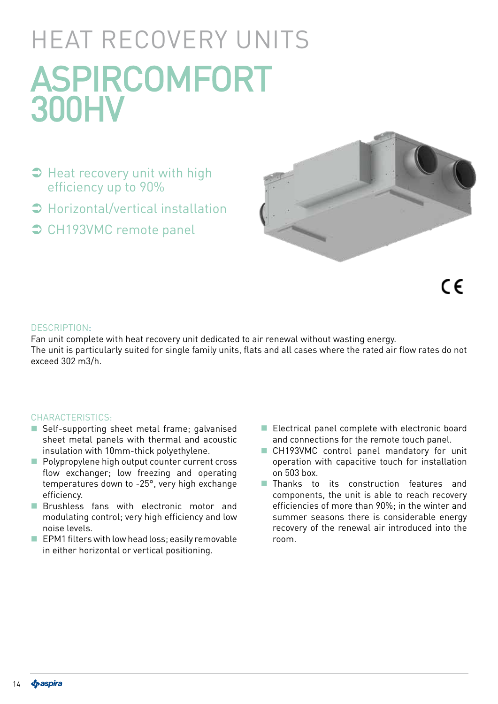# HEAT RECOVERY UNITS ASPIRCOMFORT 300HV

- $\supset$  Heat recovery unit with high efficiency up to 90%
- Horizontal/vertical installation
- **◯ CH193VMC remote panel**



 $\epsilon$ 

#### DESCRIPTION:

Fan unit complete with heat recovery unit dedicated to air renewal without wasting energy. The unit is particularly suited for single family units, flats and all cases where the rated air flow rates do not exceed 302 m3/h.

#### CHARACTERISTICS:

- Self-supporting sheet metal frame; galvanised sheet metal panels with thermal and acoustic insulation with 10mm-thick polyethylene.
- **Polypropylene high output counter current cross** flow exchanger; low freezing and operating temperatures down to -25°, very high exchange efficiency.
- **Brushless fans with electronic motor and** modulating control; very high efficiency and low noise levels.
- $\blacksquare$  EPM1 filters with low head loss; easily removable in either horizontal or vertical positioning.
- Electrical panel complete with electronic board and connections for the remote touch panel.
- CH193VMC control panel mandatory for unit operation with capacitive touch for installation on 503 box.
- **Thanks** to its construction features and components, the unit is able to reach recovery efficiencies of more than 90%; in the winter and summer seasons there is considerable energy recovery of the renewal air introduced into the room.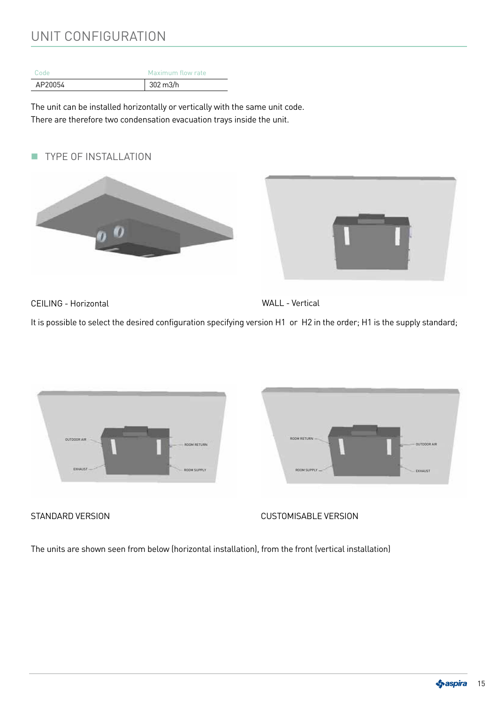## UNIT CONFIGURATION

| Code    | Maximum flow rate   |
|---------|---------------------|
| AP20054 | $302 \text{ m}$ 3/h |

The unit can be installed horizontally or vertically with the same unit code. There are therefore two condensation evacuation trays inside the unit.

**TYPE OF INSTALLATION** 





CEILING - Horizontal

WALL - Vertical

It is possible to select the desired configuration specifying version H1 or H2 in the order; H1 is the supply standard;



STANDARD VERSION GUSTOMISABLE VERSION

The units are shown seen from below (horizontal installation), from the front (vertical installation)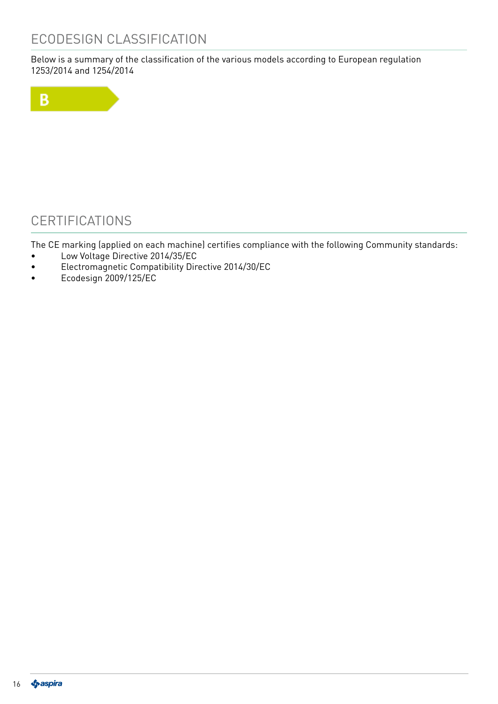## ECODESIGN CLASSIFICATION

Below is a summary of the classification of the various models according to European regulation 1253/2014 and 1254/2014



## **CERTIFICATIONS**

The CE marking (applied on each machine) certifies compliance with the following Community standards:

- Low Voltage Directive 2014/35/EC
- Electromagnetic Compatibility Directive 2014/30/EC
- Ecodesign 2009/125/EC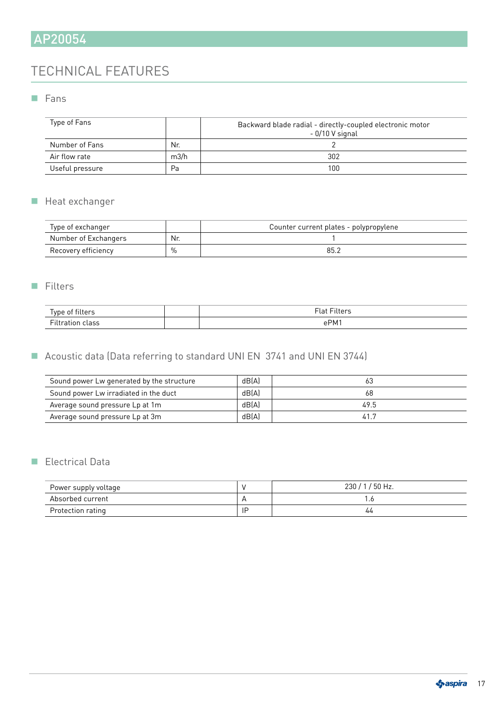## TECHNICAL FEATURES

#### **Fans**

| Type of Fans    |      | Backward blade radial - directly-coupled electronic motor<br>- 0/10 V signal |
|-----------------|------|------------------------------------------------------------------------------|
| Number of Fans  | Nr.  |                                                                              |
| Air flow rate   | m3/h | 302                                                                          |
| Useful pressure | Pa   | 100                                                                          |

### Heat exchanger

| Type of exchanger    |      | Counter current plates - polypropylene |
|----------------------|------|----------------------------------------|
| Number of Exchangers | Nr.  |                                        |
| Recovery efficiency  | $\%$ | 85.                                    |

#### **Filters**

|           | $\overline{\phantom{m}}$ |
|-----------|--------------------------|
| $- \cdot$ | ∽⊷<br>ιv                 |

### Acoustic data (Data referring to standard UNI EN 3741 and UNI EN 3744)

| Sound power Lw generated by the structure | dB(A) | 63   |
|-------------------------------------------|-------|------|
| Sound power Lw irradiated in the duct     | dB(A) | 68   |
| Average sound pressure Lp at 1m           | dB(A) | 49.5 |
| Average sound pressure Lp at 3m           | dB(A) | 41.7 |

#### Electrical Data

| Power supply voltage |    | $230/1/50$ Hz. |
|----------------------|----|----------------|
| Absorbed current     |    |                |
| Protection rating    | LЕ | 44             |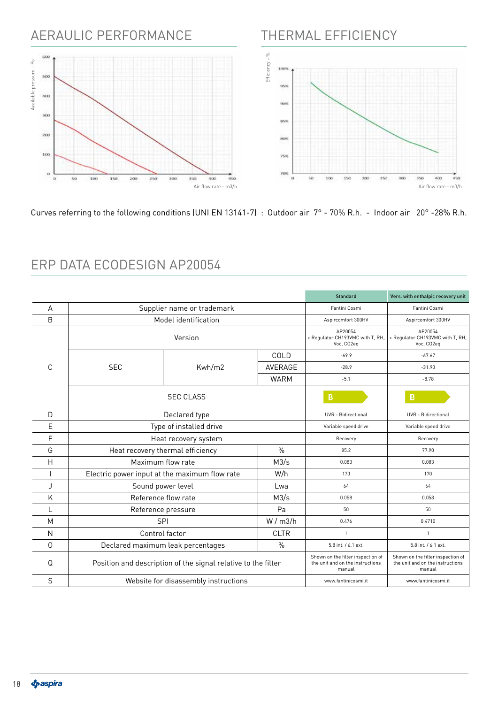## AERAULIC PERFORMANCE



THERMAL EFFICIENCY

Curves referring to the following conditions (UNI EN 13141-7) : Outdoor air 7° - 70% R.h. - Indoor air 20° -28% R.h.

|         |                                                               |                                                           | <b>Standard</b>                                           | Vers. with enthalpic recovery unit                                              |                                                                                 |
|---------|---------------------------------------------------------------|-----------------------------------------------------------|-----------------------------------------------------------|---------------------------------------------------------------------------------|---------------------------------------------------------------------------------|
| A       | Supplier name or trademark                                    |                                                           | Fantini Cosmi                                             | Fantini Cosmi                                                                   |                                                                                 |
| B       | Model identification                                          |                                                           | Aspircomfort 300HV                                        | Aspircomfort 300HV                                                              |                                                                                 |
| Version |                                                               | AP20054<br>+ Regulator CH193VMC with T, RH,<br>Voc, CO2eq | AP20054<br>+ Regulator CH193VMC with T, RH,<br>Voc, CO2eq |                                                                                 |                                                                                 |
|         |                                                               |                                                           | COLD                                                      | $-69.9$                                                                         | $-67.67$                                                                        |
| C       | <b>SEC</b>                                                    | Kwh/m2                                                    | AVERAGE                                                   | $-28.9$                                                                         | $-31.90$                                                                        |
|         |                                                               |                                                           | <b>WARM</b>                                               | $-5.1$                                                                          | $-8.78$                                                                         |
|         |                                                               | <b>SEC CLASS</b>                                          |                                                           | B                                                                               | B                                                                               |
| D       |                                                               | Declared type                                             |                                                           | <b>UVR</b> - Bidirectional                                                      | <b>UVR</b> - Bidirectional                                                      |
| E       | Type of installed drive                                       |                                                           |                                                           | Variable speed drive                                                            | Variable speed drive                                                            |
| F       | Heat recovery system                                          |                                                           |                                                           | Recovery                                                                        | Recovery                                                                        |
| G       | Heat recovery thermal efficiency                              |                                                           | $\frac{0}{0}$                                             | 85.2                                                                            | 77.90                                                                           |
| Н       | Maximum flow rate                                             |                                                           | M3/s                                                      | 0.083                                                                           | 0.083                                                                           |
|         | Electric power input at the maximum flow rate                 |                                                           | W/h                                                       | 170                                                                             | 170                                                                             |
| J       | Sound power level                                             |                                                           | Lwa                                                       | 64                                                                              | 64                                                                              |
| Κ       | Reference flow rate                                           |                                                           | M3/s                                                      | 0.058                                                                           | 0.058                                                                           |
| L       | Reference pressure                                            |                                                           | Pa                                                        | 50                                                                              | 50                                                                              |
| M       | <b>SPI</b>                                                    |                                                           | W/m3/h                                                    | 0.476                                                                           | 0.4710                                                                          |
| N       | Control factor                                                |                                                           | <b>CLTR</b>                                               | $\overline{1}$                                                                  | $\mathbf{1}$                                                                    |
| 0       | Declared maximum leak percentages                             |                                                           | $\frac{0}{0}$                                             | 5.8 int. / 6.1 ext.                                                             | 5.8 int. / 6.1 ext.                                                             |
| Q       | Position and description of the signal relative to the filter |                                                           |                                                           | Shown on the filter inspection of<br>the unit and on the instructions<br>manual | Shown on the filter inspection of<br>the unit and on the instructions<br>manual |
| S       | Website for disassembly instructions                          |                                                           |                                                           | www.fantinicosmi.it                                                             | www.fantinicosmi.it                                                             |

## ERP DATA ECODESIGN AP20054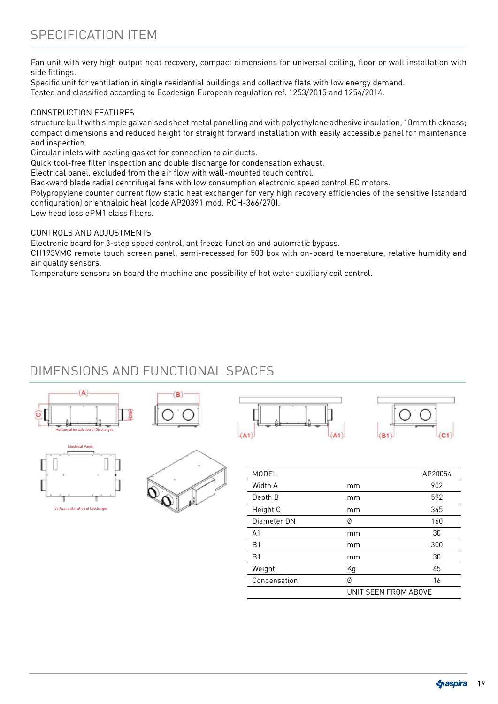Fan unit with very high output heat recovery, compact dimensions for universal ceiling, floor or wall installation with side fittings.

Specific unit for ventilation in single residential buildings and collective flats with low energy demand. Tested and classified according to Ecodesign European regulation ref. 1253/2015 and 1254/2014.

#### CONSTRUCTION FEATURES

structure built with simple galvanised sheet metal panelling and with polyethylene adhesive insulation, 10mm thickness; compact dimensions and reduced height for straight forward installation with easily accessible panel for maintenance and inspection.

Circular inlets with sealing gasket for connection to air ducts.

Quick tool-free filter inspection and double discharge for condensation exhaust.

Electrical panel, excluded from the air flow with wall-mounted touch control.

Backward blade radial centrifugal fans with low consumption electronic speed control EC motors.

Polypropylene counter current flow static heat exchanger for very high recovery efficiencies of the sensitive (standard configuration) or enthalpic heat (code AP20391 mod. RCH-366/270).

Low head loss ePM1 class filters.

#### CONTROLS AND ADJUSTMENTS

Electronic board for 3-step speed control, antifreeze function and automatic bypass.

CH193VMC remote touch screen panel, semi-recessed for 503 box with on-board temperature, relative humidity and air quality sensors.

Temperature sensors on board the machine and possibility of hot water auxiliary coil control.

## DIMENSIONS AND FUNCTIONAL SPACES











| MODEL          |                      | AP20054 |
|----------------|----------------------|---------|
| Width A        | mm                   | 902     |
| Depth B        | mm                   | 592     |
| Height C       | mm                   | 345     |
| Diameter DN    | Ø                    | 160     |
| A <sub>1</sub> | mm                   | 30      |
| <b>B1</b>      | mm                   | 300     |
| <b>B1</b>      | mm                   | 30      |
| Weight         | Кg                   | 45      |
| Condensation   | Ø                    | 16      |
|                | UNIT SEEN FROM ABOVE |         |